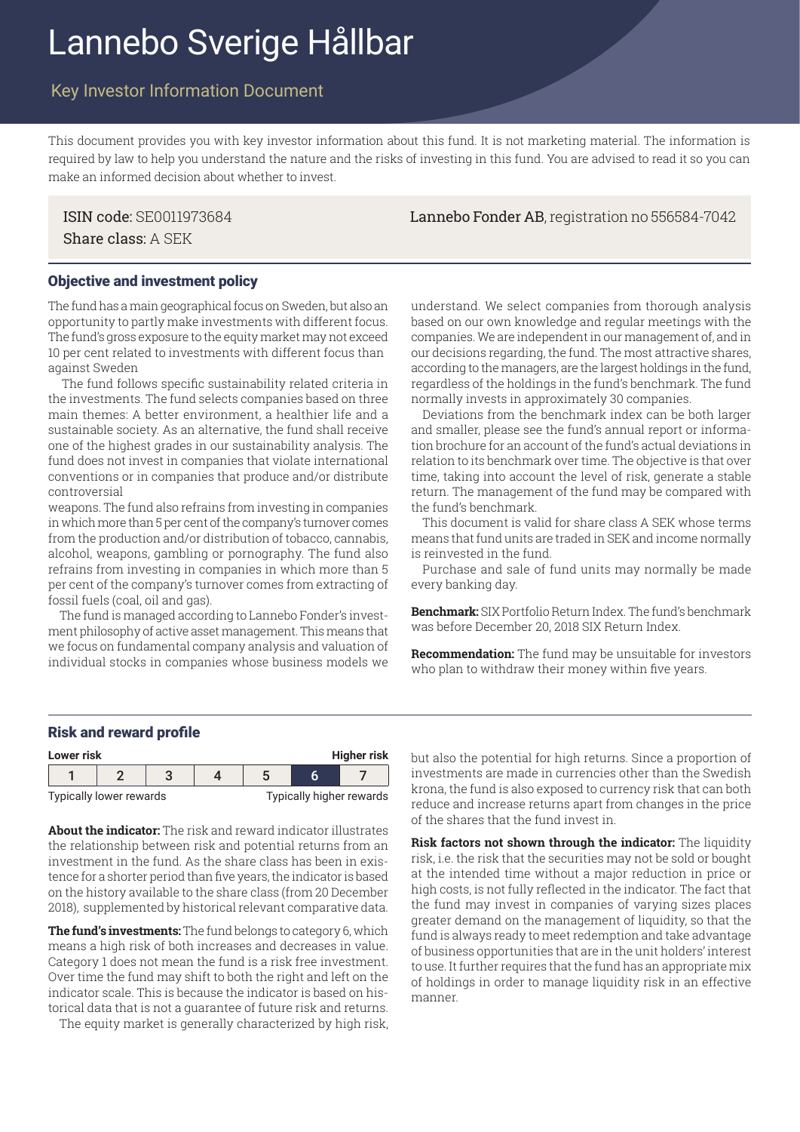# Lannebo Sverige Hållbar

## Key Investor Information Document

This document provides you with key investor information about this fund. It is not marketing material. The information is required by law to help you understand the nature and the risks of investing in this fund. You are advised to read it so you can make an informed decision about whether to invest.

Share class: A SEK

ISIN code: SE0011973684 Lannebo Fonder AB, registration no 556584-7042

#### Objective and investment policy

The fund has a main geographical focus on Sweden, but also an opportunity to partly make investments with different focus. The fund's gross exposure to the equity market may not exceed 10 per cent related to investments with different focus than against Sweden

 The fund follows specific sustainability related criteria in the investments. The fund selects companies based on three main themes: A better environment, a healthier life and a sustainable society. As an alternative, the fund shall receive one of the highest grades in our sustainability analysis. The fund does not invest in companies that violate international conventions or in companies that produce and/or distribute controversial

weapons. The fund also refrains from investing in companies in which more than 5 per cent of the company's turnover comes from the production and/or distribution of tobacco, cannabis, alcohol, weapons, gambling or pornography. The fund also refrains from investing in companies in which more than 5 per cent of the company's turnover comes from extracting of fossil fuels (coal, oil and gas).

The fund is managed according to Lannebo Fonder's investment philosophy of active asset management. This means that we focus on fundamental company analysis and valuation of individual stocks in companies whose business models we understand. We select companies from thorough analysis based on our own knowledge and regular meetings with the companies. We are independent in our management of, and in our decisions regarding, the fund. The most attractive shares, according to the managers, are the largest holdings in the fund, regardless of the holdings in the fund's benchmark. The fund normally invests in approximately 30 companies.

Deviations from the benchmark index can be both larger and smaller, please see the fund's annual report or information brochure for an account of the fund's actual deviations in relation to its benchmark over time. The objective is that over time, taking into account the level of risk, generate a stable return. The management of the fund may be compared with the fund's benchmark.

This document is valid for share class A SEK whose terms means that fund units are traded in SEK and income normally is reinvested in the fund.

Purchase and sale of fund units may normally be made every banking day.

**Benchmark:** SIX Portfolio Return Index. The fund's benchmark was before December 20, 2018 SIX Return Index.

**Recommendation:** The fund may be unsuitable for investors who plan to withdraw their money within five years.

#### Risk and reward profile

| <b>Higher risk</b><br>Lower risk |  |  |  |                          |  |  |  |
|----------------------------------|--|--|--|--------------------------|--|--|--|
|                                  |  |  |  |                          |  |  |  |
| Typically lower rewards          |  |  |  | Typically higher rewards |  |  |  |

**About the indicator:** The risk and reward indicator illustrates the relationship between risk and potential returns from an investment in the fund. As the share class has been in existence for a shorter period than five years, the indicator is based on the history available to the share class (from 20 December 2018), supplemented by historical relevant comparative data.

**The fund's investments:** The fund belongs to category 6, which means a high risk of both increases and decreases in value. Category 1 does not mean the fund is a risk free investment. Over time the fund may shift to both the right and left on the indicator scale. This is because the indicator is based on historical data that is not a guarantee of future risk and returns.

The equity market is generally characterized by high risk,

but also the potential for high returns. Since a proportion of investments are made in currencies other than the Swedish krona, the fund is also exposed to currency risk that can both reduce and increase returns apart from changes in the price of the shares that the fund invest in.

**Risk factors not shown through the indicator:** The liquidity risk, i.e. the risk that the securities may not be sold or bought at the intended time without a major reduction in price or high costs, is not fully reflected in the indicator. The fact that the fund may invest in companies of varying sizes places greater demand on the management of liquidity, so that the fund is always ready to meet redemption and take advantage of business opportunities that are in the unit holders' interest to use. It further requires that the fund has an appropriate mix of holdings in order to manage liquidity risk in an effective manner.